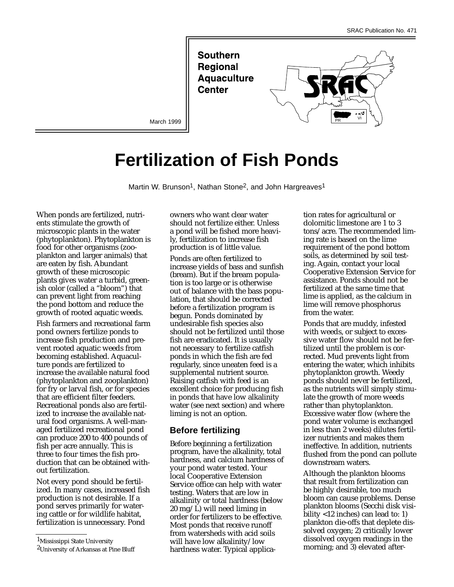**Southern Regional Aquaculture Center** 



March 1999

# **Fertilization of Fish Ponds**

Martin W. Brunson<sup>1</sup>, Nathan Stone<sup>2</sup>, and John Hargreaves<sup>1</sup>

When ponds are fertilized, nutrients stimulate the growth of microscopic plants in the water (phytoplankton). Phytoplankton is food for other organisms (zooplankton and larger animals) that are eaten by fish. Abundant growth of these microscopic plants gives water a turbid, greenish color (called a "bloom") that can prevent light from reaching the pond bottom and reduce the growth of rooted aquatic weeds.

Fish farmers and recreational farm pond owners fertilize ponds to increase fish production and prevent rooted aquatic weeds from becoming established. Aquaculture ponds are fertilized to increase the available natural food (phytoplankton and zooplankton) for fry or larval fish, or for species that are efficient filter feeders. Recreational ponds also are fertilized to increase the available natural food organisms. A well-managed fertilized recreational pond can produce 200 to 400 pounds of fish per acre annually. This is three to four times the fish production that can be obtained without fertilization.

Not every pond should be fertilized. In many cases, increased fish production is not desirable. If a pond serves primarily for watering cattle or for wildlife habitat, fertilization is unnecessary. Pond

1Mississippi State University

owners who want clear water should not fertilize either. Unless a pond will be fished more heavily, fertilization to increase fish production is of little value.

Ponds are often fertilized to increase yields of bass and sunfish (bream). But if the bream population is too large or is otherwise out of balance with the bass population, that should be corrected before a fertilization program is begun. Ponds dominated by undesirable fish species also should not be fertilized until those fish are eradicated. It is usually not necessary to fertilize catfish ponds in which the fish are fed regularly, since uneaten feed is a supplemental nutrient source. Raising catfish with feed is an excellent choice for producing fish in ponds that have low alkalinity water (see next section) and where liming is not an option.

#### **Before fertilizing**

Before beginning a fertilization program, have the alkalinity, total hardness, and calcium hardness of your pond water tested. Your local Cooperative Extension Service office can help with water testing. Waters that are low in alkalinity or total hardness (below 20 mg/L) will need liming in order for fertilizers to be effective. Most ponds that receive runoff from watersheds with acid soils will have low alkalinity/low hardness water. Typical application rates for agricultural or dolomitic limestone are 1 to 3 tons/acre. The recommended liming rate is based on the lime requirement of the pond bottom soils, as determined by soil testing. Again, contact your local Cooperative Extension Service for assistance. Ponds should not be fertilized at the same time that lime is applied, as the calcium in lime will remove phosphorus from the water.

Ponds that are muddy, infested with weeds, or subject to excessive water flow should not be fertilized until the problem is corrected. Mud prevents light from entering the water, which inhibits phytoplankton growth. Weedy ponds should never be fertilized, as the nutrients will simply stimulate the growth of more weeds rather than phytoplankton. Excessive water flow (where the pond water volume is exchanged in less than 2 weeks) dilutes fertilizer nutrients and makes them ineffective. In addition, nutrients flushed from the pond can pollute downstream waters.

Although the plankton blooms that result from fertilization can be highly desirable, too much bloom can cause problems. Dense plankton blooms (Secchi disk visibility <12 inches) can lead to: 1) plankton die-offs that deplete dissolved oxygen; 2) critically lower dissolved oxygen readings in the morning; and 3) elevated after-

<sup>2</sup>University of Arkansas at Pine Bluff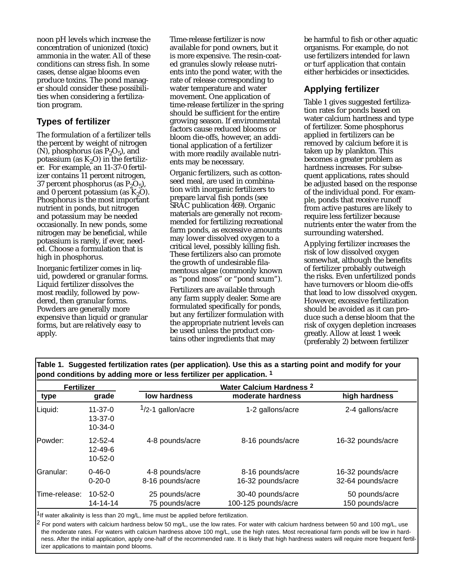noon pH levels which increase the concentration of unionized (toxic) ammonia in the water. All of these conditions can stress fish. In some cases, dense algae blooms even produce toxins. The pond manager should consider these possibilities when considering a fertilization program.

## **Types of fertilizer**

The formulation of a fertilizer tells the percent by weight of nitrogen (N), phosphorus (as  $P_2O_5$ ), and potassium (as  $K_2O$ ) in the fertilizer. For example, an 11-37-0 fertilizer contains 11 percent nitrogen, 37 percent phosphorus (as  $P_2O_5$ ), and 0 percent potassium (as  $K_2O$ ). Phosphorus is the most important nutrient in ponds, but nitrogen and potassium may be needed occasionally. In new ponds, some nitrogen may be beneficial, while potassium is rarely, if ever, needed. Choose a formulation that is high in phosphorus.

Inorganic fertilizer comes in liquid, powdered or granular forms. Liquid fertilizer dissolves the most readily, followed by powdered, then granular forms. Powders are generally more expensive than liquid or granular forms, but are relatively easy to apply.

Time-release fertilizer is now available for pond owners, but it is more expensive. The resin-coated granules slowly release nutrients into the pond water, with the rate of release corresponding to water temperature and water movement. One application of time-release fertilizer in the spring should be sufficient for the entire growing season. If environmental factors cause reduced blooms or bloom die-offs, however, an additional application of a fertilizer with more readily available nutrients may be necessary.

Organic fertilizers, such as cottonseed meal, are used in combination with inorganic fertilizers to prepare larval fish ponds (see SRAC publication 469). Organic materials are generally not recommended for fertilizing recreational farm ponds, as excessive amounts may lower dissolved oxygen to a critical level, possibly killing fish. These fertilizers also can promote the growth of undesirable filamentous algae (commonly known as "pond moss" or "pond scum").

Fertilizers are available through any farm supply dealer. Some are formulated specifically for ponds, but any fertilizer formulation with the appropriate nutrient levels can be used unless the product contains other ingredients that may

be harmful to fish or other aquatic organisms. For example, do not use fertilizers intended for lawn or turf application that contain either herbicides or insecticides.

### **Applying fertilizer**

Table 1 gives suggested fertilization rates for ponds based on water calcium hardness and type of fertilizer. Some phosphorus applied in fertilizers can be removed by calcium before it is taken up by plankton. This becomes a greater problem as hardness increases. For subsequent applications, rates should be adjusted based on the response of the individual pond. For example, ponds that receive runoff from active pastures are likely to require less fertilizer because nutrients enter the water from the surrounding watershed.

Applying fertilizer increases the risk of low dissolved oxygen somewhat, although the benefits of fertilizer probably outweigh the risks. Even unfertilized ponds have turnovers or bloom die-offs that lead to low dissolved oxygen. However, excessive fertilization should be avoided as it can produce such a dense bloom that the risk of oxygen depletion increases greatly. Allow at least 1 week (preferably 2) between fertilizer

| <b>Fertilizer</b> |                                                 | Water Calcium Hardness <sup>2</sup> |                                          |                                        |
|-------------------|-------------------------------------------------|-------------------------------------|------------------------------------------|----------------------------------------|
| type              | grade                                           | low hardness                        | moderate hardness                        | high hardness                          |
| Liquid:           | $11 - 37 - 0$<br>13-37-0<br>$10 - 34 - 0$       | $1/2-1$ gallon/acre                 | 1-2 gallons/acre                         | 2-4 gallons/acre                       |
| IPowder:          | $12 - 52 - 4$<br>$12 - 49 - 6$<br>$10 - 52 - 0$ | 4-8 pounds/acre                     | 8-16 pounds/acre                         | 16-32 pounds/acre                      |
| IGranular:        | $0 - 46 - 0$<br>$0 - 20 - 0$                    | 4-8 pounds/acre<br>8-16 pounds/acre | 8-16 pounds/acre<br>16-32 pounds/acre    | 16-32 pounds/acre<br>32-64 pounds/acre |
| Time-release:     | $10 - 52 - 0$<br>14-14-14                       | 25 pounds/acre<br>75 pounds/acre    | 30-40 pounds/acre<br>100-125 pounds/acre | 50 pounds/acre<br>150 pounds/acre      |

**Table 1. Suggested fertilization rates (per application). Use this as a starting point and modify for your pond conditions by adding more or less fertilizer per application. 1**

 $1$ If water alkalinity is less than 20 mg/L, lime must be applied before fertilization.

<sup>2</sup> For pond waters with calcium hardness below 50 mg/L, use the low rates. For water with calcium hardness between 50 and 100 mg/L, use the moderate rates. For waters with calcium hardness above 100 mg/L, use the high rates. Most recreational farm ponds will be low in hardness. After the initial application, apply one-half of the recommended rate. It is likely that high hardness waters will require more frequent fertilizer applications to maintain pond blooms.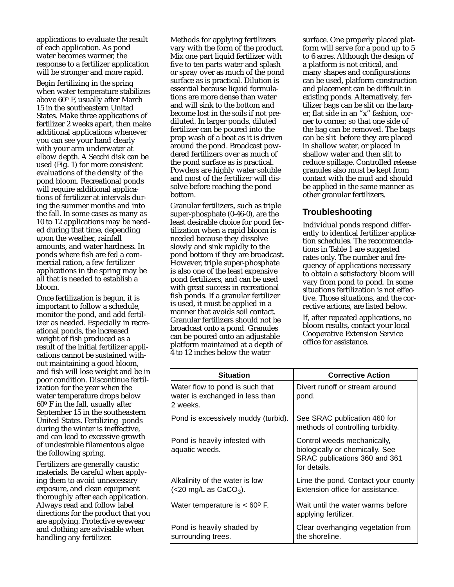applications to evaluate the result of each application. As pond water becomes warmer, the response to a fertilizer application will be stronger and more rapid.

Begin fertilizing in the spring when water temperature stabilizes above 60o F, usually after March 15 in the southeastern United States. Make three applications of fertilizer 2 weeks apart, then make additional applications whenever you can see your hand clearly with your arm underwater at elbow depth. A Secchi disk can be used (Fig. 1) for more consistent evaluations of the density of the pond bloom. Recreational ponds will require additional applications of fertilizer at intervals during the summer months and into the fall. In some cases as many as 10 to 12 applications may be needed during that time, depending upon the weather, rainfall amounts, and water hardness. In ponds where fish are fed a commercial ration, a few fertilizer applications in the spring may be all that is needed to establish a bloom.

Once fertilization is begun, it is important to follow a schedule, monitor the pond, and add fertilizer as needed. Especially in recreational ponds, the increased weight of fish produced as a result of the initial fertilizer applications cannot be sustained without maintaining a good bloom, and fish will lose weight and be in poor condition. Discontinue fertilization for the year when the water temperature drops below  $60^{\circ}$  F in the fall, usually after September 15 in the southeastern United States. Fertilizing ponds during the winter is ineffective, and can lead to excessive growth of undesirable filamentous algae the following spring.

Fertilizers are generally caustic materials. Be careful when applying them to avoid unnecessary exposure, and clean equipment thoroughly after each application. Always read and follow label directions for the product that you are applying. Protective eyewear and clothing are advisable when handling any fertilizer.

Methods for applying fertilizers vary with the form of the product. Mix one part liquid fertilizer with five to ten parts water and splash or spray over as much of the pond surface as is practical. Dilution is essential because liquid formulations are more dense than water and will sink to the bottom and become lost in the soils if not prediluted. In larger ponds, diluted fertilizer can be poured into the prop wash of a boat as it is driven around the pond. Broadcast powdered fertilizers over as much of the pond surface as is practical. Powders are highly water soluble and most of the fertilizer will dissolve before reaching the pond bottom.

Granular fertilizers, such as triple super-phosphate (0-46-0), are the least desirable choice for pond fertilization when a rapid bloom is needed because they dissolve slowly and sink rapidly to the pond bottom if they are broadcast. However, triple super-phosphate is also one of the least expensive pond fertilizers, and can be used with great success in recreational fish ponds. If a granular fertilizer is used, it must be applied in a manner that avoids soil contact. Granular fertilizers should not be broadcast onto a pond. Granules can be poured onto an adjustable platform maintained at a depth of 4 to 12 inches below the water

surface. One properly placed platform will serve for a pond up to 5 to 6 acres. Although the design of a platform is not critical, and many shapes and configurations can be used, platform construction and placement can be difficult in existing ponds. Alternatively, fertilizer bags can be slit on the larger, flat side in an "x" fashion, corner to corner, so that one side of the bag can be removed. The bags can be slit before they are placed in shallow water, or placed in shallow water and then slit to reduce spillage. Controlled release granules also must be kept from contact with the mud and should be applied in the same manner as other granular fertilizers.

#### **Troubleshooting**

Individual ponds respond differently to identical fertilizer application schedules. The recommendations in Table 1 are suggested rates only. The number and frequency of applications necessary to obtain a satisfactory bloom will vary from pond to pond. In some situations fertilization is not effective. Those situations, and the corrective actions, are listed below.

If, after repeated applications, no bloom results, contact your local Cooperative Extension Service office for assistance.

| <b>Situation</b>                                                               | <b>Corrective Action</b>                                                                                        |  |
|--------------------------------------------------------------------------------|-----------------------------------------------------------------------------------------------------------------|--|
| Water flow to pond is such that<br>water is exchanged in less than<br>2 weeks. | Divert runoff or stream around<br>pond.                                                                         |  |
| Pond is excessively muddy (turbid).                                            | See SRAC publication 460 for<br>methods of controlling turbidity.                                               |  |
| Pond is heavily infested with<br>aquatic weeds.                                | Control weeds mechanically,<br>biologically or chemically. See<br>SRAC publications 360 and 361<br>for details. |  |
| Alkalinity of the water is low<br>$(<$ 20 mg/L as CaCO <sub>3</sub> ).         | Lime the pond. Contact your county<br>Extension office for assistance.                                          |  |
| Water temperature is $< 60^{\circ}$ F.                                         | Wait until the water warms before<br>applying fertilizer.                                                       |  |
| Pond is heavily shaded by<br>surrounding trees.                                | Clear overhanging vegetation from<br>the shoreline.                                                             |  |